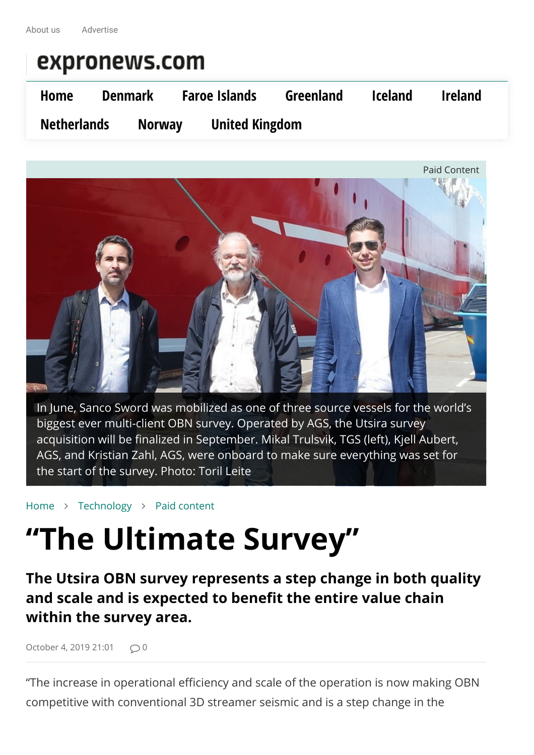

In June, Sanco Sword was mobilized as one of three source vessels for the world's biggest ever multi-client OBN survey. Operated by AGS, the Utsira survey acquisition will be finalized in September. Mikal Trulsvik, TGS (left), Kjell Aubert, AGS, and Kristian Zahl, AGS, were onboard to make sure everything was set for the start of the survey. Photo: Toril Leite

[Home](https://expronews.com/) ∠ [Technology](https://expronews.com/category/technology/) ∠ [Paid content](https://expronews.com/category/paid-content/)

# **"The Ultimate Survey"**

**The Utsira OBN survey represents a step change in both quality and scale and is expected to benefit the entire value chain within the survey area.**

[October 4, 2019 21:01](https://expronews.com/technology/the-ultimate-survey/)  $\bigcirc$  0

"The increase in operational efficiency and scale of the operation is now making OBN competitive with conventional 3D streamer seismic and is a step change in the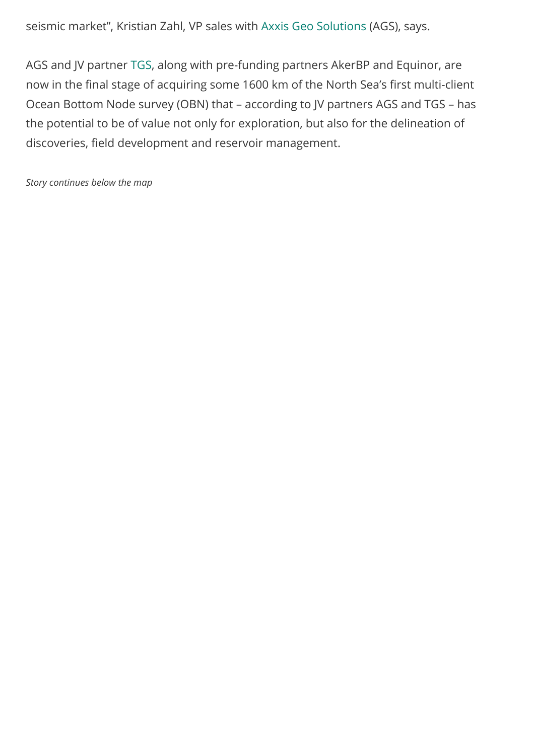seismic market", Kristian Zahl, VP sales with [Axxis Geo Solutions](https://www.axxisgeo.com/) (AGS), says.

AGS and JV partner [TGS](http://www.tgs.com/), along with pre-funding partners AkerBP and Equinor, are now in the final stage of acquiring some 1600 km of the North Sea's first multi-client Ocean Bottom Node survey (OBN) that – according to JV partners AGS and TGS – has the potential to be of value not only for exploration, but also for the delineation of discoveries, field development and reservoir management.

*Story continues below the map*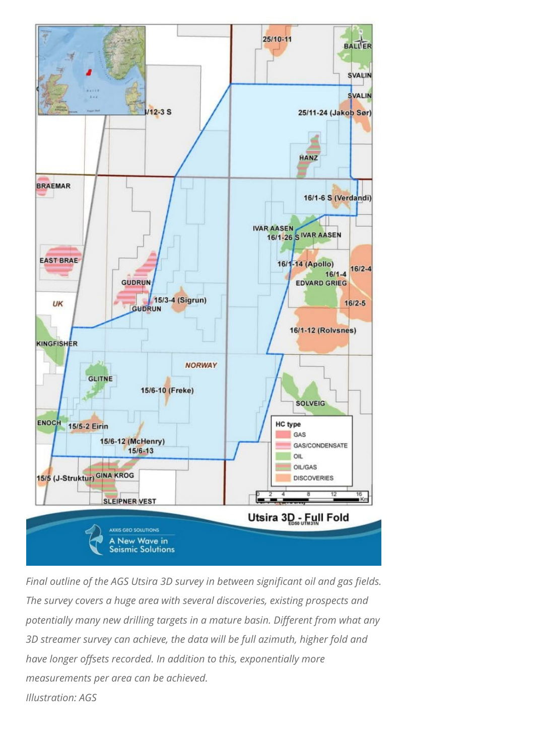

*Final outline of the AGS Utsira 3D survey in between significant oil and gas fields. The survey covers a huge area with several discoveries, existing prospects and potentially many new drilling targets in a mature basin. Different from what any 3D streamer survey can achieve, the data will be full azimuth, higher fold and have longer offsets recorded. In addition to this, exponentially more measurements per area can be achieved. Illustration: AGS*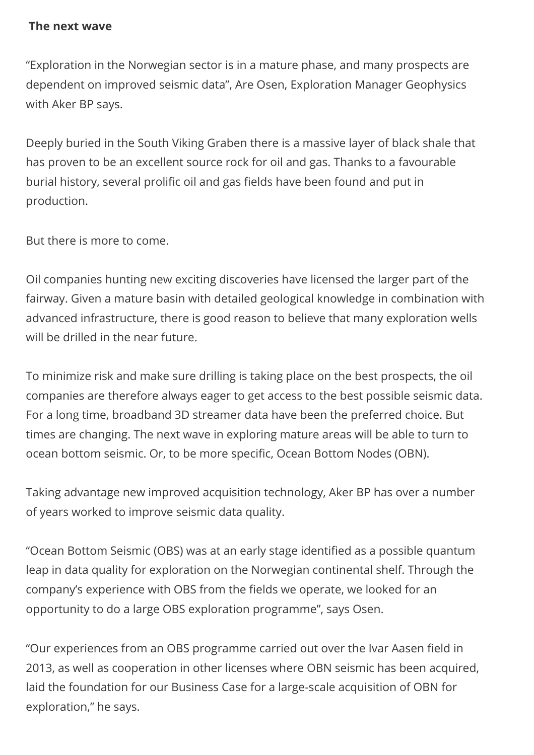#### **The next wave**

"Exploration in the Norwegian sector is in a mature phase, and many prospects are dependent on improved seismic data", Are Osen, Exploration Manager Geophysics with Aker BP says.

Deeply buried in the South Viking Graben there is a massive layer of black shale that has proven to be an excellent source rock for oil and gas. Thanks to a favourable burial history, several prolific oil and gas fields have been found and put in production.

But there is more to come.

Oil companies hunting new exciting discoveries have licensed the larger part of the fairway. Given a mature basin with detailed geological knowledge in combination with advanced infrastructure, there is good reason to believe that many exploration wells will be drilled in the near future.

To minimize risk and make sure drilling is taking place on the best prospects, the oil companies are therefore always eager to get access to the best possible seismic data. For a long time, broadband 3D streamer data have been the preferred choice. But times are changing. The next wave in exploring mature areas will be able to turn to ocean bottom seismic. Or, to be more specific, Ocean Bottom Nodes (OBN).

Taking advantage new improved acquisition technology, Aker BP has over a number of years worked to improve seismic data quality.

"Ocean Bottom Seismic (OBS) was at an early stage identified as a possible quantum leap in data quality for exploration on the Norwegian continental shelf. Through the company's experience with OBS from the fields we operate, we looked for an opportunity to do a large OBS exploration programme", says Osen.

"Our experiences from an OBS programme carried out over the Ivar Aasen field in 2013, as well as cooperation in other licenses where OBN seismic has been acquired, laid the foundation for our Business Case for a large-scale acquisition of OBN for exploration," he says.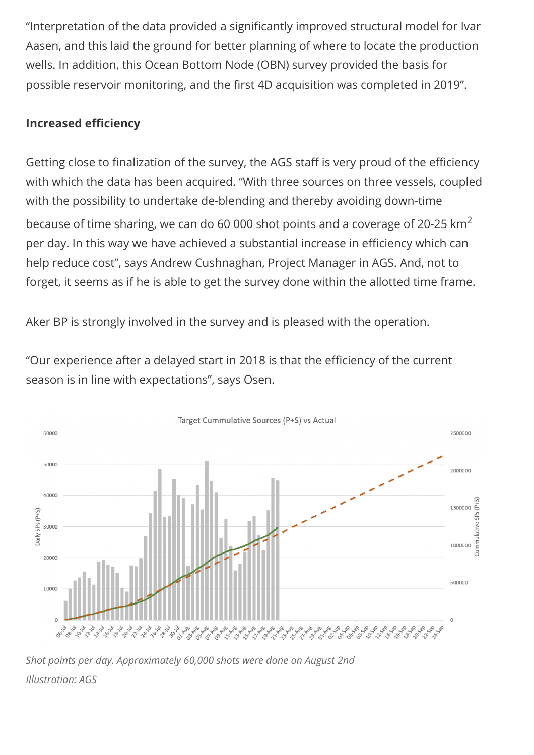"Interpretation of the data provided a significantly improved structural model for Ivar Aasen, and this laid the ground for better planning of where to locate the production wells. In addition, this Ocean Bottom Node (OBN) survey provided the basis for possible reservoir monitoring, and the first 4D acquisition was completed in 2019".

# **Increased efficiency**

Getting close to finalization of the survey, the AGS staff is very proud of the efficiency with which the data has been acquired. "With three sources on three vessels, coupled with the possibility to undertake de-blending and thereby avoiding down-time because of time sharing, we can do 60 000 shot points and a coverage of 20-25  $km^2$ per day. In this way we have achieved a substantial increase in efficiency which can help reduce cost", says Andrew Cushnaghan, Project Manager in AGS. And, not to forget, it seems as if he is able to get the survey done within the allotted time frame.

Aker BP is strongly involved in the survey and is pleased with the operation.

"Our experience after a delayed start in 2018 is that the efficiency of the current season is in line with expectations", says Osen.



*Shot points per day. Approximately 60,000 shots were done on August 2nd Illustration: AGS*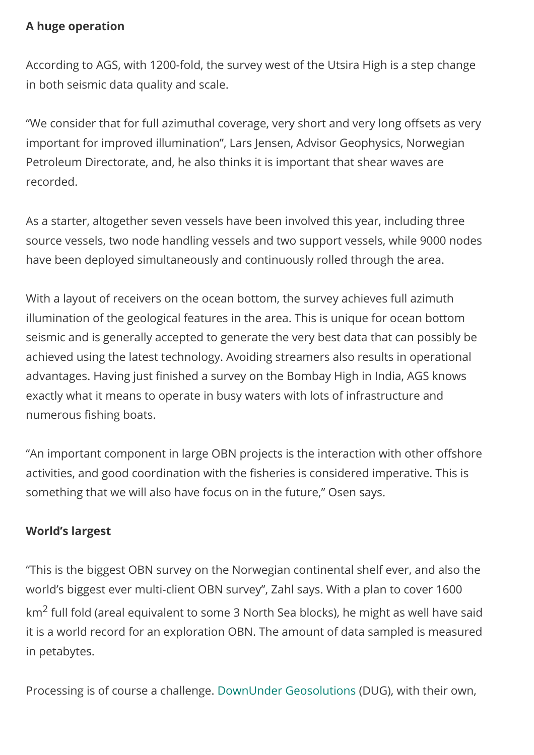### **A huge operation**

According to AGS, with 1200-fold, the survey west of the Utsira High is a step change in both seismic data quality and scale.

"We consider that for full azimuthal coverage, very short and very long offsets as very important for improved illumination", Lars Jensen, Advisor Geophysics, Norwegian Petroleum Directorate, and, he also thinks it is important that shear waves are recorded.

As a starter, altogether seven vessels have been involved this year, including three source vessels, two node handling vessels and two support vessels, while 9000 nodes have been deployed simultaneously and continuously rolled through the area.

With a layout of receivers on the ocean bottom, the survey achieves full azimuth illumination of the geological features in the area. This is unique for ocean bottom seismic and is generally accepted to generate the very best data that can possibly be achieved using the latest technology. Avoiding streamers also results in operational advantages. Having just finished a survey on the Bombay High in India, AGS knows exactly what it means to operate in busy waters with lots of infrastructure and numerous fishing boats.

"An important component in large OBN projects is the interaction with other offshore activities, and good coordination with the fisheries is considered imperative. This is something that we will also have focus on in the future," Osen says.

# **World's largest**

"This is the biggest OBN survey on the Norwegian continental shelf ever, and also the world's biggest ever multi-client OBN survey", Zahl says. With a plan to cover 1600 km2 full fold (areal equivalent to some 3 North Sea blocks), he might as well have said it is a world record for an exploration OBN. The amount of data sampled is measured in petabytes.

Processing is of course a challenge. [DownUnder Geosolutions](https://dug.com/dug-geo/seismic-processing/) (DUG), with their own,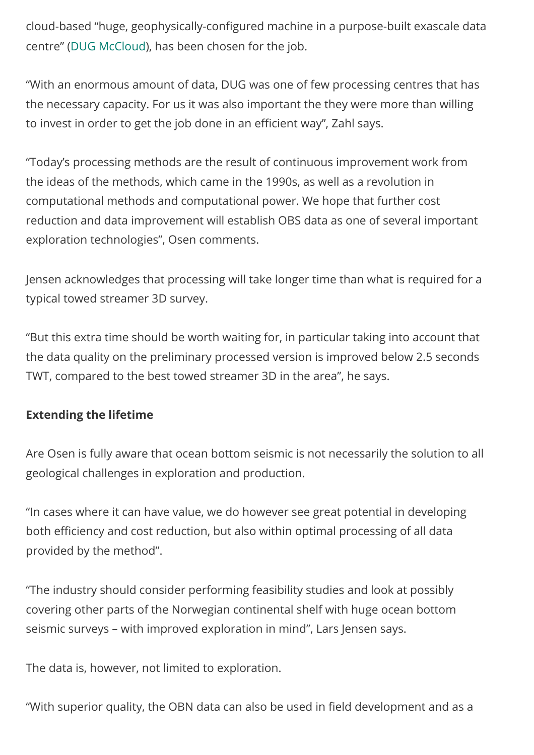cloud-based "huge, geophysically-configured machine in a purpose-built exascale data centre" ([DUG McCloud](https://dug.com/dug-mccloud/)), has been chosen for the job.

"With an enormous amount of data, DUG was one of few processing centres that has the necessary capacity. For us it was also important the they were more than willing to invest in order to get the job done in an efficient way", Zahl says.

"Today's processing methods are the result of continuous improvement work from the ideas of the methods, which came in the 1990s, as well as a revolution in computational methods and computational power. We hope that further cost reduction and data improvement will establish OBS data as one of several important exploration technologies", Osen comments.

Jensen acknowledges that processing will take longer time than what is required for a typical towed streamer 3D survey.

"But this extra time should be worth waiting for, in particular taking into account that the data quality on the preliminary processed version is improved below 2.5 seconds TWT, compared to the best towed streamer 3D in the area", he says.

# **Extending the lifetime**

Are Osen is fully aware that ocean bottom seismic is not necessarily the solution to all geological challenges in exploration and production.

"In cases where it can have value, we do however see great potential in developing both efficiency and cost reduction, but also within optimal processing of all data provided by the method".

"The industry should consider performing feasibility studies and look at possibly covering other parts of the Norwegian continental shelf with huge ocean bottom seismic surveys – with improved exploration in mind", Lars Jensen says.

The data is, however, not limited to exploration.

"With superior quality, the OBN data can also be used in field development and as a